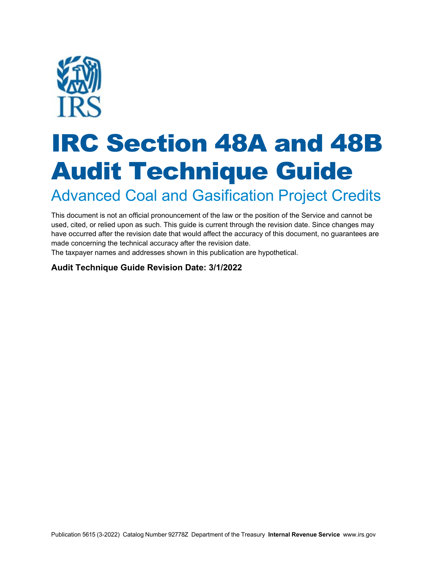

# IRC Section 48A and 48B Audit Technique Guide

Advanced Coal and Gasification Project Credits

This document is not an official pronouncement of the law or the position of the Service and cannot be used, cited, or relied upon as such. This guide is current through the revision date. Since changes may have occurred after the revision date that would affect the accuracy of this document, no guarantees are made concerning the technical accuracy after the revision date.

The taxpayer names and addresses shown in this publication are hypothetical.

#### **Audit Technique Guide Revision Date: 3/1/2022**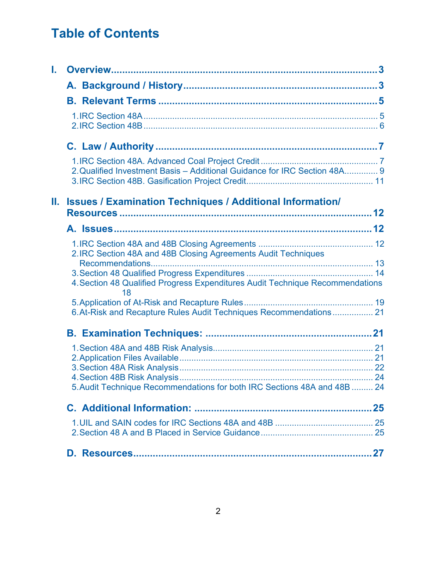# **Table of Contents**

| L.                                                                        |                                                                                     |    |
|---------------------------------------------------------------------------|-------------------------------------------------------------------------------------|----|
|                                                                           |                                                                                     |    |
|                                                                           |                                                                                     |    |
|                                                                           |                                                                                     |    |
|                                                                           |                                                                                     |    |
|                                                                           | 2. Qualified Investment Basis - Additional Guidance for IRC Section 48A 9           |    |
| II. .<br><b>Issues / Examination Techniques / Additional Information/</b> |                                                                                     |    |
|                                                                           |                                                                                     |    |
|                                                                           | 2. IRC Section 48A and 48B Closing Agreements Audit Techniques                      |    |
|                                                                           | 4. Section 48 Qualified Progress Expenditures Audit Technique Recommendations<br>18 |    |
|                                                                           | 6. At-Risk and Recapture Rules Audit Techniques Recommendations 21                  |    |
|                                                                           |                                                                                     |    |
|                                                                           | 5. Audit Technique Recommendations for both IRC Sections 48A and 48B  24            |    |
|                                                                           |                                                                                     |    |
|                                                                           |                                                                                     |    |
|                                                                           |                                                                                     | 27 |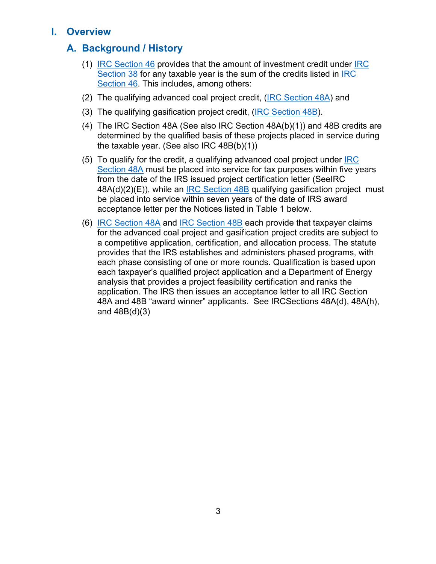## <span id="page-2-0"></span>**I. Overview**

# **A. Background / History**

- (1) IRC Section 46 provides that the amount of investment credit under IRC Section 38 for any taxable year is the sum of the credits listed in IRC Section 46. This includes, among others:
- (2) The qualifying advanced coal project credit, (IRC Section 48A) and
- (3) The qualifying gasification project credit, (IRC Section 48B).
- (4) The IRC Section 48A (See also IRC Section 48A(b)(1)) and 48B credits are determined by the qualified basis of these projects placed in service during the taxable year. (See also IRC 48B(b)(1))
- (5) To qualify for the credit, a qualifying advanced coal project under IRC Section 48A must be placed into service for tax purposes within five years from the date of the IRS issued project certification letter (SeeIRC 48A(d)(2)(E)), while an IRC Section 48B qualifying gasification project must be placed into service within seven years of the date of IRS award acceptance letter per the Notices listed in Table 1 below.
- (6) IRC Section 48A and IRC Section 48B each provide that taxpayer claims for the advanced coal project and gasification project credits are subject to a competitive application, certification, and allocation process. The statute provides that the IRS establishes and administers phased programs, with each phase consisting of one or more rounds. Qualification is based upon each taxpayer's qualified project application and a Department of Energy analysis that provides a project feasibility certification and ranks the application. The IRS then issues an acceptance letter to all IRC Section 48A and 48B "award winner" applicants. See IRCSections 48A(d), 48A(h), and 48B(d)(3)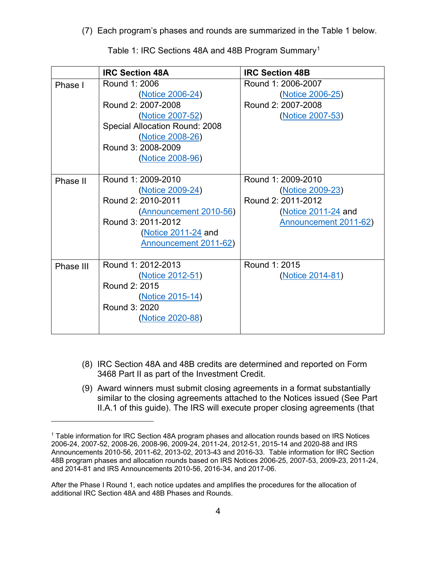(7) Each program's phases and rounds are summarized in the Table 1 below.

|           | <b>IRC Section 48A</b>                                                                                                                                                      | <b>IRC Section 48B</b>                                                                                       |
|-----------|-----------------------------------------------------------------------------------------------------------------------------------------------------------------------------|--------------------------------------------------------------------------------------------------------------|
| Phase I   | Round 1: 2006<br>(Notice 2006-24)<br>Round 2: 2007-2008<br>(Notice 2007-52)<br>Special Allocation Round: 2008<br>(Notice 2008-26)<br>Round 3: 2008-2009<br>(Notice 2008-96) | Round 1: 2006-2007<br>(Notice 2006-25)<br>Round 2: 2007-2008<br>(Notice 2007-53)                             |
| Phase II  | Round 1: 2009-2010<br>(Notice 2009-24)<br>Round 2: 2010-2011<br>(Announcement 2010-56)<br>Round 3: 2011-2012<br><b>Notice 2011-24 and</b><br>Announcement 2011-62)          | Round 1: 2009-2010<br>(Notice 2009-23)<br>Round 2: 2011-2012<br>(Notice 2011-24 and<br>Announcement 2011-62) |
| Phase III | Round 1: 2012-2013<br>(Notice 2012-51)<br>Round 2: 2015<br>(Notice 2015-14)<br>Round 3: 2020<br>(Notice 2020-88)                                                            | Round 1: 2015<br>(Notice 2014-81)                                                                            |

Table 1: IRC Sections 48A and 48B Program Summary<sup>1</sup>

- (8) IRC Section 48A and 48B credits are determined and reported on Form 3468 Part II as part of the Investment Credit.
- (9) Award winners must submit closing agreements in a format substantially similar to the closing agreements attached to the Notices issued (See Part II.A.1 of this guide). The IRS will execute proper closing agreements (that

<sup>1</sup> Table information for IRC Section 48A program phases and allocation rounds based on IRS Notices 2006-24, 2007-52, 2008-26, 2008-96, 2009-24, 2011-24, 2012-51, 2015-14 and 2020-88 and IRS Announcements 2010-56, 2011-62, 2013-02, 2013-43 and 2016-33. Table information for IRC Section 48B program phases and allocation rounds based on IRS Notices 2006-25, 2007-53, 2009-23, 2011-24, and 2014-81 and IRS Announcements 2010-56, 2016-34, and 2017-06.

After the Phase I Round 1, each notice updates and amplifies the procedures for the allocation of additional IRC Section 48A and 48B Phases and Rounds.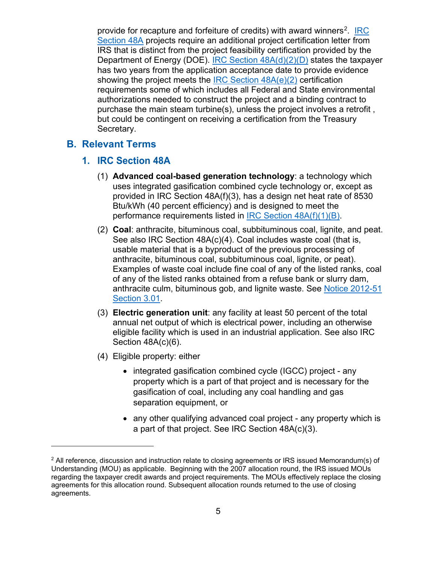<span id="page-4-0"></span>provide for recapture and forfeiture of credits) with award winners<sup>2</sup>. IRC Section 48A projects require an additional project certification letter from IRS that is distinct from the project feasibility certification provided by the Department of Energy (DOE). IRC Section 48A(d)(2)(D) states the taxpayer has two years from the application acceptance date to provide evidence showing the project meets the IRC Section 48A(e)(2) certification requirements some of which includes all Federal and State environmental authorizations needed to construct the project and a binding contract to purchase the main steam turbine(s), unless the project involves a retrofit , but could be contingent on receiving a certification from the Treasury Secretary.

#### **B. Relevant Terms**

#### **1. IRC Section 48A**

- (1) **Advanced coal-based generation technology**: a technology which uses integrated gasification combined cycle technology or, except as provided in IRC Section 48A(f)(3), has a design net heat rate of 8530 Btu/kWh (40 percent efficiency) and is designed to meet the performance requirements listed in IRC Section 48A(f)(1)(B).
- (2) **Coal**: anthracite, bituminous coal, subbituminous coal, lignite, and peat. See also IRC Section 48A(c)(4). Coal includes waste coal (that is, usable material that is a byproduct of the previous processing of anthracite, bituminous coal, subbituminous coal, lignite, or peat). Examples of waste coal include fine coal of any of the listed ranks, coal of any of the listed ranks obtained from a refuse bank or slurry dam, anthracite culm, bituminous gob, and lignite waste. See Notice 2012-51 Section 3.01.
- (3) **Electric generation unit**: any facility at least 50 percent of the total annual net output of which is electrical power, including an otherwise eligible facility which is used in an industrial application. See also IRC Section 48A(c)(6).
- (4) Eligible property: either
	- integrated gasification combined cycle (IGCC) project any property which is a part of that project and is necessary for the gasification of coal, including any coal handling and gas separation equipment, or
	- any other qualifying advanced coal project any property which is a part of that project. See IRC Section 48A(c)(3).

<sup>&</sup>lt;sup>2</sup> All reference, discussion and instruction relate to closing agreements or IRS issued Memorandum(s) of Understanding (MOU) as applicable. Beginning with the 2007 allocation round, the IRS issued MOUs regarding the taxpayer credit awards and project requirements. The MOUs effectively replace the closing agreements for this allocation round. Subsequent allocation rounds returned to the use of closing agreements.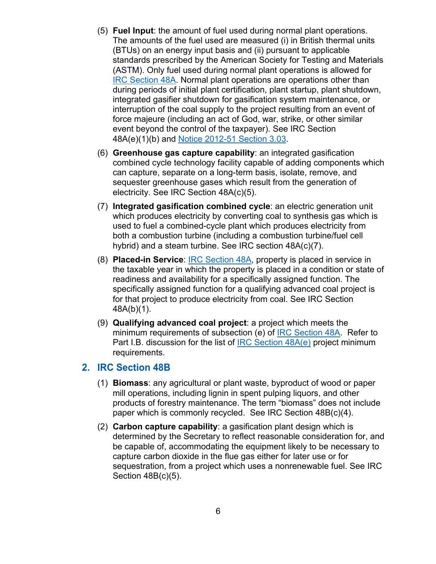- <span id="page-5-0"></span>(5) **Fuel Input**: the amount of fuel used during normal plant operations. The amounts of the fuel used are measured (i) in British thermal units (BTUs) on an energy input basis and (ii) pursuant to applicable standards prescribed by the American Society for Testing and Materials (ASTM). Only fuel used during normal plant operations is allowed for IRC Section 48A. Normal plant operations are operations other than during periods of initial plant certification, plant startup, plant shutdown, integrated gasifier shutdown for gasification system maintenance, or interruption of the coal supply to the project resulting from an event of force majeure (including an act of God, war, strike, or other similar event beyond the control of the taxpayer). See IRC Section 48A(e)(1)(b) and Notice 2012-51 Section 3.03.
- (6) **Greenhouse gas capture capability**: an integrated gasification combined cycle technology facility capable of adding components which can capture, separate on a long-term basis, isolate, remove, and sequester greenhouse gases which result from the generation of electricity. See IRC Section 48A(c)(5).
- (7) **Integrated gasification combined cycle**: an electric generation unit which produces electricity by converting coal to synthesis gas which is used to fuel a combined-cycle plant which produces electricity from both a combustion turbine (including a combustion turbine/fuel cell hybrid) and a steam turbine. See IRC section 48A(c)(7).
- (8) **Placed-in Service**: IRC Section 48A, property is placed in service in the taxable year in which the property is placed in a condition or state of readiness and availability for a specifically assigned function. The specifically assigned function for a qualifying advanced coal project is for that project to produce electricity from coal. See IRC Section 48A(b)(1).
- (9) **Qualifying advanced coal project**: a project which meets the minimum requirements of subsection (e) of IRC Section 48A. Refer to Part I.B. discussion for the list of **IRC Section 48A(e)** project minimum requirements.

#### **2. IRC Section 48B**

- (1) **Biomass**: any agricultural or plant waste, byproduct of wood or paper mill operations, including lignin in spent pulping liquors, and other products of forestry maintenance. The term "biomass" does not include paper which is commonly recycled. See IRC Section 48B(c)(4).
- (2) **Carbon capture capability**: a gasification plant design which is determined by the Secretary to reflect reasonable consideration for, and be capable of, accommodating the equipment likely to be necessary to capture carbon dioxide in the flue gas either for later use or for sequestration, from a project which uses a nonrenewable fuel. See IRC Section 48B(c)(5).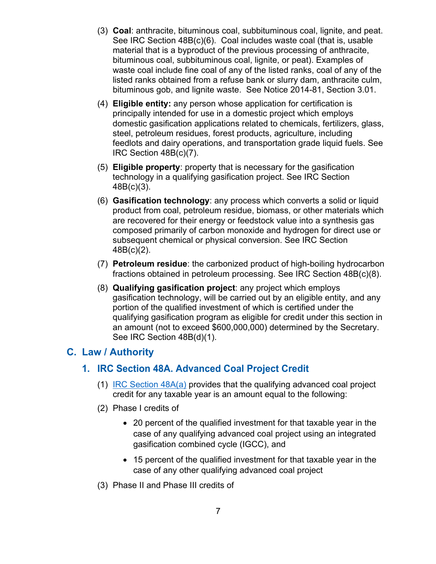- <span id="page-6-0"></span>(3) **Coal**: anthracite, bituminous coal, subbituminous coal, lignite, and peat. See IRC Section 48B(c)(6). Coal includes waste coal (that is, usable material that is a byproduct of the previous processing of anthracite, bituminous coal, subbituminous coal, lignite, or peat). Examples of waste coal include fine coal of any of the listed ranks, coal of any of the listed ranks obtained from a refuse bank or slurry dam, anthracite culm, bituminous gob, and lignite waste. See Notice 2014-81, Section 3.01.
- (4) **Eligible entity:** any person whose application for certification is principally intended for use in a domestic project which employs domestic gasification applications related to chemicals, fertilizers, glass, steel, petroleum residues, forest products, agriculture, including feedlots and dairy operations, and transportation grade liquid fuels. See IRC Section 48B(c)(7).
- (5) **Eligible property**: property that is necessary for the gasification technology in a qualifying gasification project. See IRC Section 48B(c)(3).
- (6) **Gasification technology**: any process which converts a solid or liquid product from coal, petroleum residue, biomass, or other materials which are recovered for their energy or feedstock value into a synthesis gas composed primarily of carbon monoxide and hydrogen for direct use or subsequent chemical or physical conversion. See IRC Section 48B(c)(2).
- (7) **Petroleum residue**: the carbonized product of high-boiling hydrocarbon fractions obtained in petroleum processing. See IRC Section 48B(c)(8).
- (8) **Qualifying gasification project**: any project which employs gasification technology, will be carried out by an eligible entity, and any portion of the qualified investment of which is certified under the qualifying gasification program as eligible for credit under this section in an amount (not to exceed \$600,000,000) determined by the Secretary. See IRC Section 48B(d)(1).

#### **C. Law / Authority**

#### **1. IRC Section 48A. Advanced Coal Project Credit**

- (1) IRC Section 48A(a) provides that the qualifying advanced coal project credit for any taxable year is an amount equal to the following:
- (2) Phase I credits of
	- 20 percent of the qualified investment for that taxable year in the case of any qualifying advanced coal project using an integrated gasification combined cycle (IGCC), and
	- 15 percent of the qualified investment for that taxable year in the case of any other qualifying advanced coal project
- (3) Phase II and Phase III credits of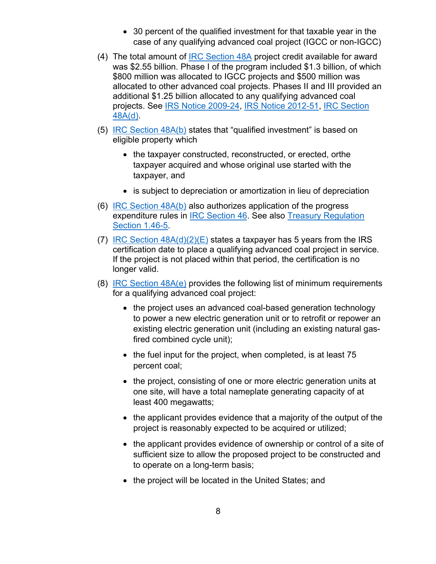- 30 percent of the qualified investment for that taxable year in the case of any qualifying advanced coal project (IGCC or non-IGCC)
- (4) The total amount of **IRC** Section 48A project credit available for award was \$2.55 billion. Phase I of the program included \$1.3 billion, of which \$800 million was allocated to IGCC projects and \$500 million was allocated to other advanced coal projects. Phases II and III provided an additional \$1.25 billion allocated to any qualifying advanced coal projects. See IRS Notice 2009-24, IRS Notice 2012-51, IRC Section 48A(d).
- (5) IRC Section 48A(b) states that "qualified investment" is based on eligible property which
	- the taxpayer constructed, reconstructed, or erected, orthe taxpayer acquired and whose original use started with the taxpayer, and
	- is subject to depreciation or amortization in lieu of depreciation
- (6) IRC Section 48A(b) also authorizes application of the progress expenditure rules in IRC Section 46. See also Treasury Regulation Section 1.46-5.
- (7) IRC Section  $48A(d)(2)(E)$  states a taxpayer has 5 years from the IRS certification date to place a qualifying advanced coal project in service. If the project is not placed within that period, the certification is no longer valid.
- (8) IRC Section 48A(e) provides the following list of minimum requirements for a qualifying advanced coal project:
	- the project uses an advanced coal-based generation technology to power a new electric generation unit or to retrofit or repower an existing electric generation unit (including an existing natural gasfired combined cycle unit);
	- the fuel input for the project, when completed, is at least 75 percent coal;
	- the project, consisting of one or more electric generation units at one site, will have a total nameplate generating capacity of at least 400 megawatts;
	- the applicant provides evidence that a majority of the output of the project is reasonably expected to be acquired or utilized;
	- the applicant provides evidence of ownership or control of a site of sufficient size to allow the proposed project to be constructed and to operate on a long-term basis;
	- the project will be located in the United States; and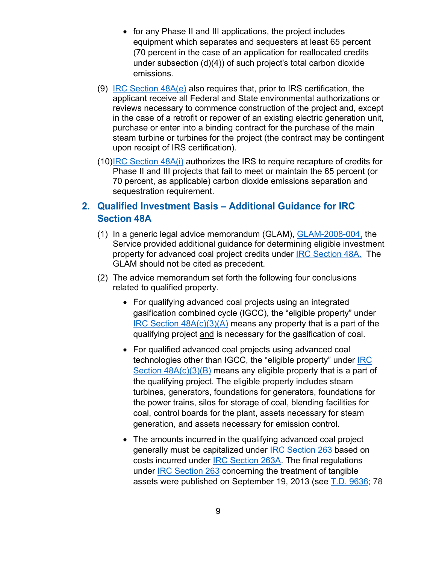- <span id="page-8-0"></span>• for any Phase II and III applications, the project includes equipment which separates and sequesters at least 65 percent (70 percent in the case of an application for reallocated credits under subsection (d)(4)) of such project's total carbon dioxide emissions.
- (9) IRC Section 48A(e) also requires that, prior to IRS certification, the applicant receive all Federal and State environmental authorizations or reviews necessary to commence construction of the project and, except in the case of a retrofit or repower of an existing electric generation unit, purchase or enter into a binding contract for the purchase of the main steam turbine or turbines for the project (the contract may be contingent upon receipt of IRS certification).
- (10)IRC Section 48A(i) authorizes the IRS to require recapture of credits for Phase II and III projects that fail to meet or maintain the 65 percent (or 70 percent, as applicable) carbon dioxide emissions separation and sequestration requirement.

# **2. Qualified Investment Basis – Additional Guidance for IRC Section 48A**

- (1) In a generic legal advice memorandum (GLAM), GLAM-2008-004, the Service provided additional guidance for determining eligible investment property for advanced coal project credits under **IRC Section 48A.** The GLAM should not be cited as precedent.
- (2) The advice memorandum set forth the following four conclusions related to qualified property.
	- For qualifying advanced coal projects using an integrated gasification combined cycle (IGCC), the "eligible property" under IRC Section  $48A(c)(3)(A)$  means any property that is a part of the qualifying project and is necessary for the gasification of coal.
	- For qualified advanced coal projects using advanced coal technologies other than IGCC, the "eligible property" under IRC Section  $48A(c)(3)(B)$  means any eligible property that is a part of the qualifying project. The eligible property includes steam turbines, generators, foundations for generators, foundations for the power trains, silos for storage of coal, blending facilities for coal, control boards for the plant, assets necessary for steam generation, and assets necessary for emission control.
	- The amounts incurred in the qualifying advanced coal project generally must be capitalized under **IRC Section 263 based on** costs incurred under IRC Section 263A. The final regulations under IRC Section 263 concerning the treatment of tangible assets were published on September 19, 2013 (see T.D. 9636; 78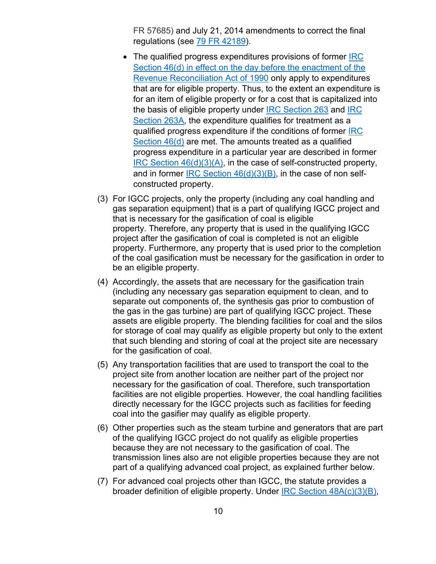FR 57685) and July 21, 2014 amendments to correct the final regulations (see 79 FR 42189).

- The qualified progress expenditures provisions of former IRC Section 46(d) in effect on the day before the enactment of the Revenue Reconciliation Act of 1990 only apply to expenditures that are for eligible property. Thus, to the extent an expenditure is for an item of eligible property or for a cost that is capitalized into the basis of eligible property under IRC Section 263 and IRC Section 263A, the expenditure qualifies for treatment as a qualified progress expenditure if the conditions of former IRC Section 46(d) are met. The amounts treated as a qualified progress expenditure in a particular year are described in former IRC Section 46(d)(3)(A), in the case of self-constructed property, and in former IRC Section 46(d)(3)(B), in the case of non selfconstructed property.
- (3) For IGCC projects, only the property (including any coal handling and gas separation equipment) that is a part of qualifying IGCC project and that is necessary for the gasification of coal is eligible property. Therefore, any property that is used in the qualifying IGCC project after the gasification of coal is completed is not an eligible property. Furthermore, any property that is used prior to the completion of the coal gasification must be necessary for the gasification in order to be an eligible property.
- (4) Accordingly, the assets that are necessary for the gasification train (including any necessary gas separation equipment to clean, and to separate out components of, the synthesis gas prior to combustion of the gas in the gas turbine) are part of qualifying IGCC project. These assets are eligible property. The blending facilities for coal and the silos for storage of coal may qualify as eligible property but only to the extent that such blending and storing of coal at the project site are necessary for the gasification of coal.
- (5) Any transportation facilities that are used to transport the coal to the project site from another location are neither part of the project nor necessary for the gasification of coal. Therefore, such transportation facilities are not eligible properties. However, the coal handling facilities directly necessary for the IGCC projects such as facilities for feeding coal into the gasifier may qualify as eligible property.
- (6) Other properties such as the steam turbine and generators that are part of the qualifying IGCC project do not qualify as eligible properties because they are not necessary to the gasification of coal. The transmission lines also are not eligible properties because they are not part of a qualifying advanced coal project, as explained further below.
- (7) For advanced coal projects other than IGCC, the statute provides a broader definition of eligible property. Under IRC Section 48A(c)(3)(B),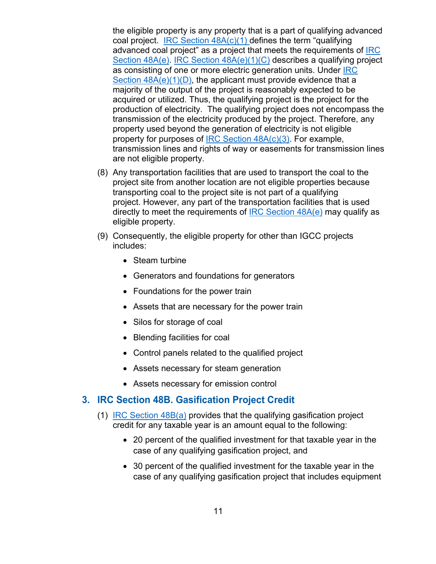<span id="page-10-0"></span>the eligible property is any property that is a part of qualifying advanced coal project. IRC Section  $48A(c)(1)$  defines the term "qualifying" advanced coal project" as a project that meets the requirements of IRC Section 48A(e). IRC Section 48A(e)(1)(C) describes a qualifying project as consisting of one or more electric generation units. Under **IRC** Section  $48A(e)(1)(D)$ , the applicant must provide evidence that a majority of the output of the project is reasonably expected to be acquired or utilized. Thus, the qualifying project is the project for the production of electricity. The qualifying project does not encompass the transmission of the electricity produced by the project. Therefore, any property used beyond the generation of electricity is not eligible property for purposes of IRC Section 48A(c)(3). For example, transmission lines and rights of way or easements for transmission lines are not eligible property.

- (8) Any transportation facilities that are used to transport the coal to the project site from another location are not eligible properties because transporting coal to the project site is not part of a qualifying project. However, any part of the transportation facilities that is used directly to meet the requirements of IRC Section  $48A(e)$  may qualify as eligible property.
- (9) Consequently, the eligible property for other than IGCC projects includes:
	- Steam turbine
	- Generators and foundations for generators
	- Foundations for the power train
	- Assets that are necessary for the power train
	- Silos for storage of coal
	- Blending facilities for coal
	- Control panels related to the qualified project
	- Assets necessary for steam generation
	- Assets necessary for emission control

#### **3. IRC Section 48B. Gasification Project Credit**

- (1) IRC Section 48B(a) provides that the qualifying gasification project credit for any taxable year is an amount equal to the following:
	- 20 percent of the qualified investment for that taxable year in the case of any qualifying gasification project, and
	- 30 percent of the qualified investment for the taxable year in the case of any qualifying gasification project that includes equipment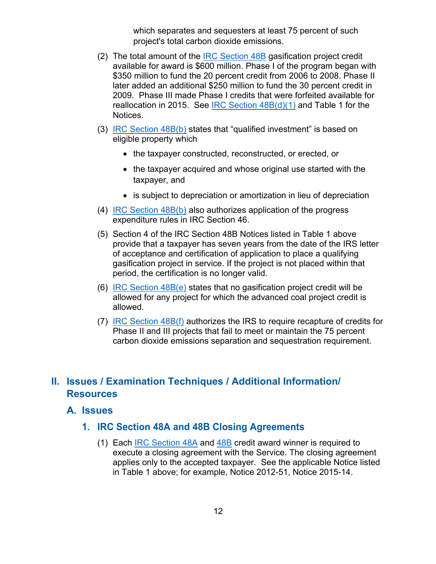which separates and sequesters at least 75 percent of such project's total carbon dioxide emissions.

- <span id="page-11-0"></span>(2) The total amount of the **IRC Section 48B** gasification project credit available for award is \$600 million. Phase I of the program began with \$350 million to fund the 20 percent credit from 2006 to 2008. Phase II later added an additional \$250 million to fund the 30 percent credit in 2009. Phase III made Phase I credits that were forfeited available for reallocation in 2015. See **IRC Section 48B(d)(1)** and Table 1 for the Notices.
- (3) IRC Section 48B(b) states that "qualified investment" is based on eligible property which
	- the taxpayer constructed, reconstructed, or erected, or
	- the taxpayer acquired and whose original use started with the taxpayer, and
	- is subject to depreciation or amortization in lieu of depreciation
- (4) IRC Section 48B(b) also authorizes application of the progress expenditure rules in IRC Section 46.
- (5) Section 4 of the IRC Section 48B Notices listed in Table 1 above provide that a taxpayer has seven years from the date of the IRS letter of acceptance and certification of application to place a qualifying gasification project in service. If the project is not placed within that period, the certification is no longer valid.
- (6) IRC Section 48B(e) states that no gasification project credit will be allowed for any project for which the advanced coal project credit is allowed.
- (7) IRC Section 48B(f) authorizes the IRS to require recapture of credits for Phase II and III projects that fail to meet or maintain the 75 percent carbon dioxide emissions separation and sequestration requirement.

# **II. Issues / Examination Techniques / Additional Information/ Resources**

#### **A. Issues**

#### **1. IRC Section 48A and 48B Closing Agreements**

(1) Each IRC Section 48A and 48B credit award winner is required to execute a closing agreement with the Service. The closing agreement applies only to the accepted taxpayer. See the applicable Notice listed in Table 1 above; for example, Notice 2012-51, Notice 2015-14.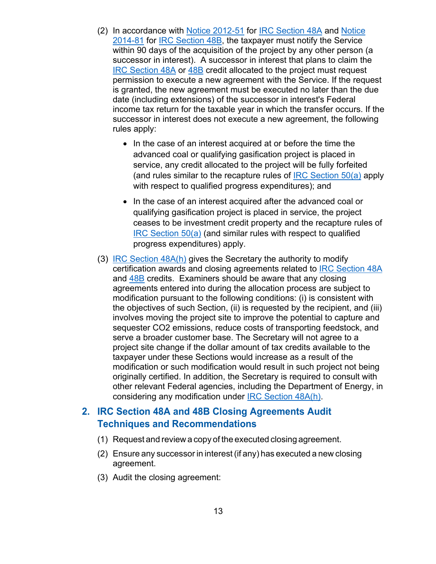- <span id="page-12-0"></span>(2) In accordance with Notice 2012-51 for IRC Section 48A and Notice 2014-81 for IRC Section 48B, the taxpayer must notify the Service within 90 days of the acquisition of the project by any other person (a successor in interest). A successor in interest that plans to claim the IRC Section 48A or 48B credit allocated to the project must request permission to execute a new agreement with the Service. If the request is granted, the new agreement must be executed no later than the due date (including extensions) of the successor in interest's Federal income tax return for the taxable year in which the transfer occurs. If the successor in interest does not execute a new agreement, the following rules apply:
	- In the case of an interest acquired at or before the time the advanced coal or qualifying gasification project is placed in service, any credit allocated to the project will be fully forfeited (and rules similar to the recapture rules of IRC Section  $50(a)$  apply with respect to qualified progress expenditures); and
	- In the case of an interest acquired after the advanced coal or qualifying gasification project is placed in service, the project ceases to be investment credit property and the recapture rules of IRC Section 50(a) (and similar rules with respect to qualified progress expenditures) apply.
- (3) IRC Section 48A(h) gives the Secretary the authority to modify certification awards and closing agreements related to IRC Section 48A and 48B credits. Examiners should be aware that any closing agreements entered into during the allocation process are subject to modification pursuant to the following conditions: (i) is consistent with the objectives of such Section, (ii) is requested by the recipient, and (iii) involves moving the project site to improve the potential to capture and sequester CO2 emissions, reduce costs of transporting feedstock, and serve a broader customer base. The Secretary will not agree to a project site change if the dollar amount of tax credits available to the taxpayer under these Sections would increase as a result of the modification or such modification would result in such project not being originally certified. In addition, the Secretary is required to consult with other relevant Federal agencies, including the Department of Energy, in considering any modification under IRC Section 48A(h).

#### **2. IRC Section 48A and 48B Closing Agreements Audit Techniques and Recommendations**

- (1) Request and review a copy of the executed closing agreement.
- (2) Ensure any successor in interest (if any) has executed a new closing agreement.
- (3) Audit the closing agreement: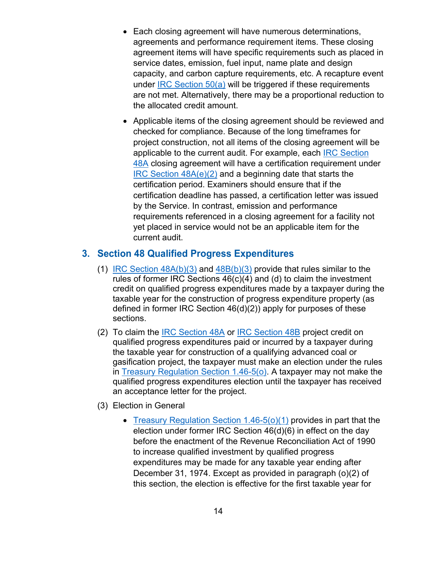- <span id="page-13-0"></span>• Each closing agreement will have numerous determinations, agreements and performance requirement items. These closing agreement items will have specific requirements such as placed in service dates, emission, fuel input, name plate and design capacity, and carbon capture requirements, etc. A recapture event under IRC Section 50(a) will be triggered if these requirements are not met. Alternatively, there may be a proportional reduction to the allocated credit amount.
- Applicable items of the closing agreement should be reviewed and checked for compliance. Because of the long timeframes for project construction, not all items of the closing agreement will be applicable to the current audit. For example, each IRC Section 48A closing agreement will have a certification requirement under IRC Section 48A(e)(2) and a beginning date that starts the certification period. Examiners should ensure that if the certification deadline has passed, a certification letter was issued by the Service. In contrast, emission and performance requirements referenced in a closing agreement for a facility not yet placed in service would not be an applicable item for the current audit.

#### **3. Section 48 Qualified Progress Expenditures**

- (1) IRC Section  $48A(b)(3)$  and  $48B(b)(3)$  provide that rules similar to the rules of former IRC Sections 46(c)(4) and (d) to claim the investment credit on qualified progress expenditures made by a taxpayer during the taxable year for the construction of progress expenditure property (as defined in former IRC Section 46(d)(2)) apply for purposes of these sections.
- (2) To claim the IRC Section 48A or IRC Section 48B project credit on qualified progress expenditures paid or incurred by a taxpayer during the taxable year for construction of a qualifying advanced coal or gasification project, the taxpayer must make an election under the rules in Treasury Regulation Section 1.46-5(o). A taxpayer may not make the qualified progress expenditures election until the taxpayer has received an acceptance letter for the project.
- (3) Election in General
	- Treasury Regulation Section 1.46-5(o)(1) provides in part that the election under former IRC Section 46(d)(6) in effect on the day before the enactment of the Revenue Reconciliation Act of 1990 to increase qualified investment by qualified progress expenditures may be made for any taxable year ending after December 31, 1974. Except as provided in paragraph (o)(2) of this section, the election is effective for the first taxable year for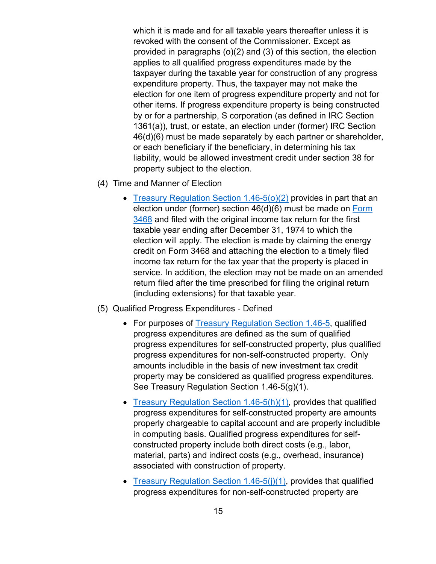which it is made and for all taxable years thereafter unless it is revoked with the consent of the Commissioner. Except as provided in paragraphs (o)(2) and (3) of this section, the election applies to all qualified progress expenditures made by the taxpayer during the taxable year for construction of any progress expenditure property. Thus, the taxpayer may not make the election for one item of progress expenditure property and not for other items. If progress expenditure property is being constructed by or for a partnership, S corporation (as defined in IRC Section 1361(a)), trust, or estate, an election under (former) IRC Section 46(d)(6) must be made separately by each partner or shareholder, or each beneficiary if the beneficiary, in determining his tax liability, would be allowed investment credit under section 38 for property subject to the election.

- (4) Time and Manner of Election
	- Treasury Regulation Section 1.46-5(o)(2) provides in part that an election under (former) section 46(d)(6) must be made on Form 3468 and filed with the original income tax return for the first taxable year ending after December 31, 1974 to which the election will apply. The election is made by claiming the energy credit on Form 3468 and attaching the election to a timely filed income tax return for the tax year that the property is placed in service. In addition, the election may not be made on an amended return filed after the time prescribed for filing the original return (including extensions) for that taxable year.
- (5) Qualified Progress Expenditures Defined
	- For purposes of Treasury Regulation Section 1.46-5, qualified progress expenditures are defined as the sum of qualified progress expenditures for self-constructed property, plus qualified progress expenditures for non-self-constructed property. Only amounts includible in the basis of new investment tax credit property may be considered as qualified progress expenditures. See Treasury Regulation Section 1.46-5(g)(1).
	- Treasury Regulation Section 1.46-5(h)(1), provides that qualified progress expenditures for self-constructed property are amounts properly chargeable to capital account and are properly includible in computing basis. Qualified progress expenditures for selfconstructed property include both direct costs (e.g., labor, material, parts) and indirect costs (e.g., overhead, insurance) associated with construction of property.
	- Treasury Regulation Section 1.46-5(j)(1), provides that qualified progress expenditures for non-self-constructed property are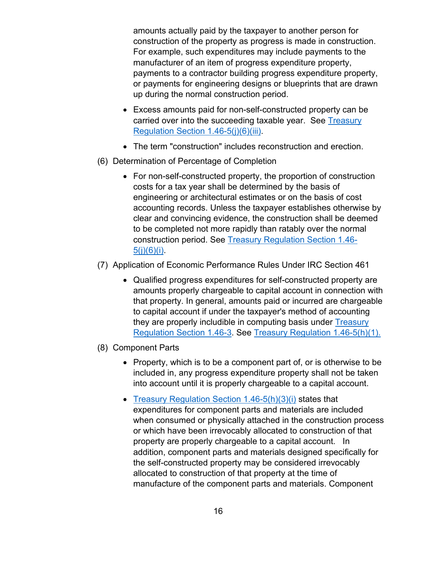amounts actually paid by the taxpayer to another person for construction of the property as progress is made in construction. For example, such expenditures may include payments to the manufacturer of an item of progress expenditure property, payments to a contractor building progress expenditure property, or payments for engineering designs or blueprints that are drawn up during the normal construction period.

- Excess amounts paid for non-self-constructed property can be carried over into the succeeding taxable year. See Treasury Regulation Section 1.46-5(j)(6)(iii).
- The term "construction" includes reconstruction and erection.
- (6) Determination of Percentage of Completion
	- For non-self-constructed property, the proportion of construction costs for a tax year shall be determined by the basis of engineering or architectural estimates or on the basis of cost accounting records. Unless the taxpayer establishes otherwise by clear and convincing evidence, the construction shall be deemed to be completed not more rapidly than ratably over the normal construction period. See Treasury Regulation Section 1.46-  $5(j)(6)(i)$ .
- (7) Application of Economic Performance Rules Under IRC Section 461
	- Qualified progress expenditures for self-constructed property are amounts properly chargeable to capital account in connection with that property. In general, amounts paid or incurred are chargeable to capital account if under the taxpayer's method of accounting they are properly includible in computing basis under Treasury Regulation Section 1.46-3. See Treasury Regulation 1.46-5(h)(1).
- (8) Component Parts
	- Property, which is to be a component part of, or is otherwise to be included in, any progress expenditure property shall not be taken into account until it is properly chargeable to a capital account.
	- Treasury Regulation Section 1.46-5(h)(3)(i) states that expenditures for component parts and materials are included when consumed or physically attached in the construction process or which have been irrevocably allocated to construction of that property are properly chargeable to a capital account. In addition, component parts and materials designed specifically for the self-constructed property may be considered irrevocably allocated to construction of that property at the time of manufacture of the component parts and materials. Component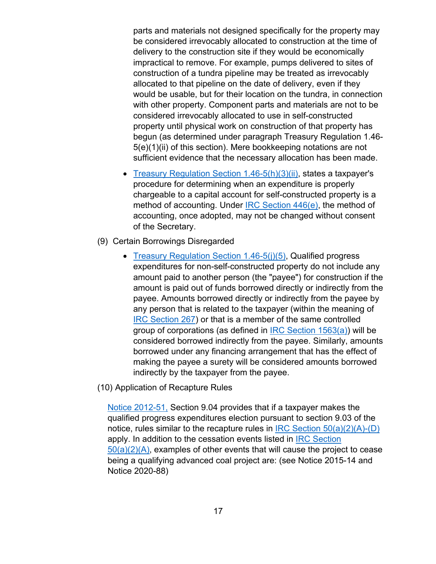parts and materials not designed specifically for the property may be considered irrevocably allocated to construction at the time of delivery to the construction site if they would be economically impractical to remove. For example, pumps delivered to sites of construction of a tundra pipeline may be treated as irrevocably allocated to that pipeline on the date of delivery, even if they would be usable, but for their location on the tundra, in connection with other property. Component parts and materials are not to be considered irrevocably allocated to use in self-constructed property until physical work on construction of that property has begun (as determined under paragraph Treasury Regulation 1.46- 5(e)(1)(ii) of this section). Mere bookkeeping notations are not sufficient evidence that the necessary allocation has been made.

- Treasury Regulation Section 1.46-5(h)(3)(ii), states a taxpayer's procedure for determining when an expenditure is properly chargeable to a capital account for self-constructed property is a method of accounting. Under IRC Section 446(e), the method of accounting, once adopted, may not be changed without consent of the Secretary.
- (9) Certain Borrowings Disregarded
	- Treasury Regulation Section 1.46-5(j)(5), Qualified progress expenditures for non-self-constructed property do not include any amount paid to another person (the "payee") for construction if the amount is paid out of funds borrowed directly or indirectly from the payee. Amounts borrowed directly or indirectly from the payee by any person that is related to the taxpayer (within the meaning of IRC Section 267) or that is a member of the same controlled group of corporations (as defined in IRC Section 1563(a)) will be considered borrowed indirectly from the payee. Similarly, amounts borrowed under any financing arrangement that has the effect of making the payee a surety will be considered amounts borrowed indirectly by the taxpayer from the payee.
- (10) Application of Recapture Rules

Notice 2012-51, Section 9.04 provides that if a taxpayer makes the qualified progress expenditures election pursuant to section 9.03 of the notice, rules similar to the recapture rules in IRC Section  $50(a)(2)(A)$ -(D) apply. In addition to the cessation events listed in IRC Section  $50(a)(2)(A)$ , examples of other events that will cause the project to cease being a qualifying advanced coal project are: (see Notice 2015-14 and Notice 2020-88)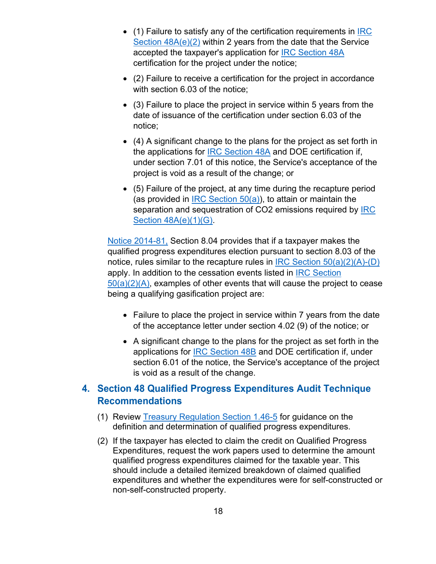- <span id="page-17-0"></span> $\bullet$  (1) Failure to satisfy any of the certification requirements in **IRC** Section 48A(e)(2) within 2 years from the date that the Service accepted the taxpayer's application for IRC Section 48A certification for the project under the notice;
- (2) Failure to receive a certification for the project in accordance with section 6.03 of the notice;
- (3) Failure to place the project in service within 5 years from the date of issuance of the certification under section 6.03 of the notice;
- (4) A significant change to the plans for the project as set forth in the applications for IRC Section 48A and DOE certification if, under section 7.01 of this notice, the Service's acceptance of the project is void as a result of the change; or
- (5) Failure of the project, at any time during the recapture period (as provided in IRC Section  $50(a)$ ), to attain or maintain the separation and sequestration of CO2 emissions required by IRC Section 48A(e)(1)(G).

Notice 2014-81, Section 8.04 provides that if a taxpayer makes the qualified progress expenditures election pursuant to section 8.03 of the notice, rules similar to the recapture rules in IRC Section  $50(a)(2)(A)$ -(D) apply. In addition to the cessation events listed in IRC Section  $50(a)(2)(A)$ , examples of other events that will cause the project to cease being a qualifying gasification project are:

- Failure to place the project in service within 7 years from the date of the acceptance letter under section 4.02 (9) of the notice; or
- A significant change to the plans for the project as set forth in the applications for IRC Section 48B and DOE certification if, under section 6.01 of the notice, the Service's acceptance of the project is void as a result of the change.

# **4. Section 48 Qualified Progress Expenditures Audit Technique Recommendations**

- (1) Review Treasury Regulation Section 1.46-5 for guidance on the definition and determination of qualified progress expenditures.
- (2) If the taxpayer has elected to claim the credit on Qualified Progress Expenditures, request the work papers used to determine the amount qualified progress expenditures claimed for the taxable year. This should include a detailed itemized breakdown of claimed qualified expenditures and whether the expenditures were for self-constructed or non-self-constructed property.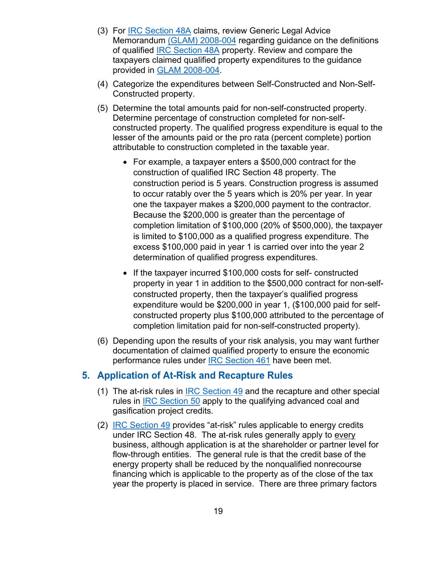- <span id="page-18-0"></span>(3) For IRC Section 48A claims, review Generic Legal Advice Memorandum (GLAM) 2008-004 regarding guidance on the definitions of qualified IRC Section 48A property. Review and compare the taxpayers claimed qualified property expenditures to the guidance provided in GLAM 2008-004.
- (4) Categorize the expenditures between Self-Constructed and Non-Self-Constructed property.
- (5) Determine the total amounts paid for non-self-constructed property. Determine percentage of construction completed for non-selfconstructed property. The qualified progress expenditure is equal to the lesser of the amounts paid or the pro rata (percent complete) portion attributable to construction completed in the taxable year.
	- For example, a taxpayer enters a \$500,000 contract for the construction of qualified IRC Section 48 property. The construction period is 5 years. Construction progress is assumed to occur ratably over the 5 years which is 20% per year. In year one the taxpayer makes a \$200,000 payment to the contractor. Because the \$200,000 is greater than the percentage of completion limitation of \$100,000 (20% of \$500,000), the taxpayer is limited to \$100,000 as a qualified progress expenditure. The excess \$100,000 paid in year 1 is carried over into the year 2 determination of qualified progress expenditures.
	- If the taxpayer incurred \$100,000 costs for self- constructed property in year 1 in addition to the \$500,000 contract for non-selfconstructed property, then the taxpayer's qualified progress expenditure would be \$200,000 in year 1, (\$100,000 paid for selfconstructed property plus \$100,000 attributed to the percentage of completion limitation paid for non-self-constructed property).
- (6) Depending upon the results of your risk analysis, you may want further documentation of claimed qualified property to ensure the economic performance rules under IRC Section 461 have been met.

#### **5. Application of At-Risk and Recapture Rules**

- (1) The at-risk rules in IRC Section 49 and the recapture and other special rules in IRC Section 50 apply to the qualifying advanced coal and gasification project credits.
- (2) IRC Section 49 provides "at-risk" rules applicable to energy credits under IRC Section 48. The at-risk rules generally apply to every business, although application is at the shareholder or partner level for flow-through entities. The general rule is that the credit base of the energy property shall be reduced by the nonqualified nonrecourse financing which is applicable to the property as of the close of the tax year the property is placed in service. There are three primary factors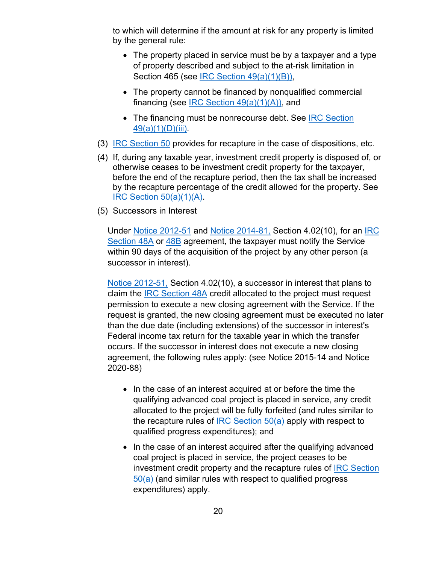to which will determine if the amount at risk for any property is limited by the general rule:

- The property placed in service must be by a taxpayer and a type of property described and subject to the at-risk limitation in Section 465 (see IRC Section 49(a)(1)(B)),
- The property cannot be financed by nonqualified commercial financing (see IRC Section 49(a)(1)(A)), and
- The financing must be nonrecourse debt. See IRC Section 49(a)(1)(D)(iii).
- (3) IRC Section 50 provides for recapture in the case of dispositions, etc.
- (4) If, during any taxable year, investment credit property is disposed of, or otherwise ceases to be investment credit property for the taxpayer, before the end of the recapture period, then the tax shall be increased by the recapture percentage of the credit allowed for the property. See IRC Section  $50(a)(1)(A)$ .
- (5) Successors in Interest

Under Notice 2012-51 and Notice 2014-81, Section 4.02(10), for an IRC Section 48A or 48B agreement, the taxpayer must notify the Service within 90 days of the acquisition of the project by any other person (a successor in interest).

Notice 2012-51, Section 4.02(10), a successor in interest that plans to claim the IRC Section 48A credit allocated to the project must request permission to execute a new closing agreement with the Service. If the request is granted, the new closing agreement must be executed no later than the due date (including extensions) of the successor in interest's Federal income tax return for the taxable year in which the transfer occurs. If the successor in interest does not execute a new closing agreement, the following rules apply: (see Notice 2015-14 and Notice 2020-88)

- In the case of an interest acquired at or before the time the qualifying advanced coal project is placed in service, any credit allocated to the project will be fully forfeited (and rules similar to the recapture rules of IRC Section  $50(a)$  apply with respect to qualified progress expenditures); and
- In the case of an interest acquired after the qualifying advanced coal project is placed in service, the project ceases to be investment credit property and the recapture rules of IRC Section 50(a) (and similar rules with respect to qualified progress expenditures) apply.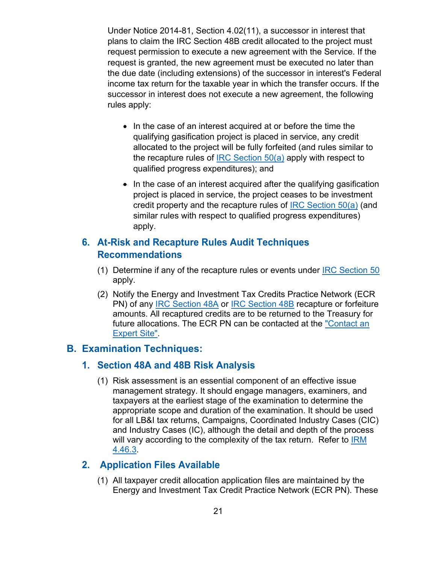<span id="page-20-0"></span>Under Notice 2014-81, Section 4.02(11), a successor in interest that plans to claim the IRC Section 48B credit allocated to the project must request permission to execute a new agreement with the Service. If the request is granted, the new agreement must be executed no later than the due date (including extensions) of the successor in interest's Federal income tax return for the taxable year in which the transfer occurs. If the successor in interest does not execute a new agreement, the following rules apply:

- In the case of an interest acquired at or before the time the qualifying gasification project is placed in service, any credit allocated to the project will be fully forfeited (and rules similar to the recapture rules of IRC Section 50(a) apply with respect to qualified progress expenditures); and
- In the case of an interest acquired after the qualifying gasification project is placed in service, the project ceases to be investment credit property and the recapture rules of IRC Section  $50(a)$  (and similar rules with respect to qualified progress expenditures) apply.

## **6. At-Risk and Recapture Rules Audit Techniques Recommendations**

- (1) Determine if any of the recapture rules or events under IRC Section  $50$ apply.
- (2) Notify the Energy and Investment Tax Credits Practice Network (ECR PN) of any IRC Section 48A or IRC Section 48B recapture or forfeiture amounts. All recaptured credits are to be returned to the Treasury for future allocations. The ECR PN can be contacted at the "Contact an Expert Site".

#### **B. Examination Techniques:**

#### **1. Section 48A and 48B Risk Analysis**

(1) Risk assessment is an essential component of an effective issue management strategy. It should engage managers, examiners, and taxpayers at the earliest stage of the examination to determine the appropriate scope and duration of the examination. It should be used for all LB&I tax returns, Campaigns, Coordinated Industry Cases (CIC) and Industry Cases (IC), although the detail and depth of the process will vary according to the complexity of the tax return. Refer to **IRM** 4.46.3.

#### **2. Application Files Available**

(1) All taxpayer credit allocation application files are maintained by the Energy and Investment Tax Credit Practice Network (ECR PN). These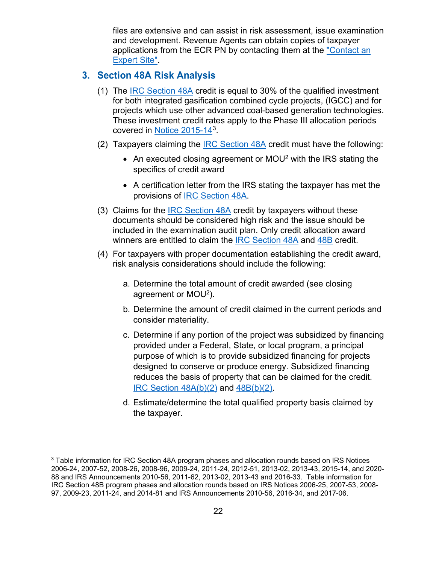files are extensive and can assist in risk assessment, issue examination and development. Revenue Agents can obtain copies of taxpayer applications from the ECR PN by contacting them at the "Contact an Expert Site".

#### <span id="page-21-0"></span>**3. Section 48A Risk Analysis**

- (1) The IRC Section 48A credit is equal to 30% of the qualified investment for both integrated gasification combined cycle projects, (IGCC) and for projects which use other advanced coal-based generation technologies. These investment credit rates apply to the Phase III allocation periods covered in Notice 2015-143.
- (2) Taxpayers claiming the **IRC** Section  $48A$  credit must have the following:
	- An executed closing agreement or MOU<sup>2</sup> with the IRS stating the specifics of credit award
	- A certification letter from the IRS stating the taxpayer has met the provisions of IRC Section 48A.
- (3) Claims for the **IRC** Section 48A credit by taxpayers without these documents should be considered high risk and the issue should be included in the examination audit plan. Only credit allocation award winners are entitled to claim the **IRC Section 48A** and 48B credit.
- (4) For taxpayers with proper documentation establishing the credit award, risk analysis considerations should include the following:
	- a. Determine the total amount of credit awarded (see closing agreement or MOU2).
	- b. Determine the amount of credit claimed in the current periods and consider materiality.
	- c. Determine if any portion of the project was subsidized by financing provided under a Federal, State, or local program, a principal purpose of which is to provide subsidized financing for projects designed to conserve or produce energy. Subsidized financing reduces the basis of property that can be claimed for the credit. IRC Section 48A(b)(2) and 48B(b)(2).
	- d. Estimate/determine the total qualified property basis claimed by the taxpayer.

<sup>&</sup>lt;sup>3</sup> Table information for IRC Section 48A program phases and allocation rounds based on IRS Notices 2006-24, 2007-52, 2008-26, 2008-96, 2009-24, 2011-24, 2012-51, 2013-02, 2013-43, 2015-14, and 2020- 88 and IRS Announcements 2010-56, 2011-62, 2013-02, 2013-43 and 2016-33. Table information for IRC Section 48B program phases and allocation rounds based on IRS Notices 2006-25, 2007-53, 2008- 97, 2009-23, 2011-24, and 2014-81 and IRS Announcements 2010-56, 2016-34, and 2017-06.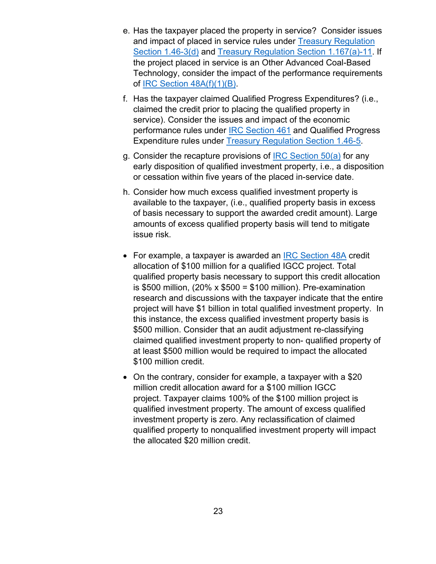- e. Has the taxpayer placed the property in service? Consider issues and impact of placed in service rules under Treasury Regulation Section 1.46-3(d) and Treasury Regulation Section 1.167(a)-11. If the project placed in service is an Other Advanced Coal-Based Technology, consider the impact of the performance requirements of IRC Section 48A(f)(1)(B).
- f. Has the taxpayer claimed Qualified Progress Expenditures? (i.e., claimed the credit prior to placing the qualified property in service). Consider the issues and impact of the economic performance rules under IRC Section 461 and Qualified Progress Expenditure rules under Treasury Regulation Section 1.46-5.
- g. Consider the recapture provisions of IRC Section 50(a) for any early disposition of qualified investment property, i.e., a disposition or cessation within five years of the placed in-service date.
- h. Consider how much excess qualified investment property is available to the taxpayer, (i.e., qualified property basis in excess of basis necessary to support the awarded credit amount). Large amounts of excess qualified property basis will tend to mitigate issue risk.
- For example, a taxpayer is awarded an IRC Section 48A credit allocation of \$100 million for a qualified IGCC project. Total qualified property basis necessary to support this credit allocation is  $$500$  million,  $(20\% \times $500 = $100$  million). Pre-examination research and discussions with the taxpayer indicate that the entire project will have \$1 billion in total qualified investment property. In this instance, the excess qualified investment property basis is \$500 million. Consider that an audit adjustment re-classifying claimed qualified investment property to non- qualified property of at least \$500 million would be required to impact the allocated \$100 million credit.
- On the contrary, consider for example, a taxpayer with a \$20 million credit allocation award for a \$100 million IGCC project. Taxpayer claims 100% of the \$100 million project is qualified investment property. The amount of excess qualified investment property is zero. Any reclassification of claimed qualified property to nonqualified investment property will impact the allocated \$20 million credit.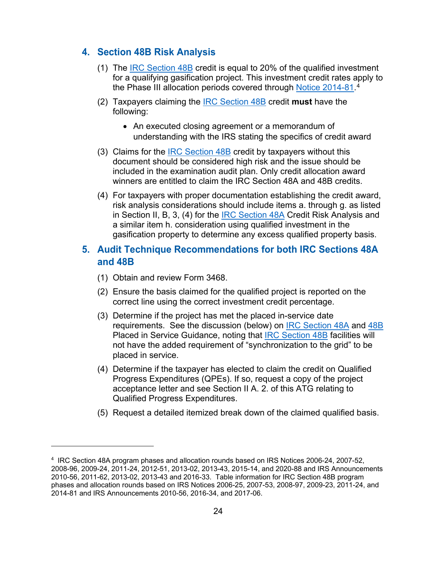#### <span id="page-23-0"></span>**4. Section 48B Risk Analysis**

- (1) The IRC Section 48B credit is equal to 20% of the qualified investment for a qualifying gasification project. This investment credit rates apply to the Phase III allocation periods covered through <u>Notice 2014-81</u>.<sup>4</sup>
- (2) Taxpayers claiming the IRC Section 48B credit **must** have the following:
	- An executed closing agreement or a memorandum of understanding with the IRS stating the specifics of credit award
- (3) Claims for the IRC Section 48B credit by taxpayers without this document should be considered high risk and the issue should be included in the examination audit plan. Only credit allocation award winners are entitled to claim the IRC Section 48A and 48B credits.
- (4) For taxpayers with proper documentation establishing the credit award, risk analysis considerations should include items a. through g. as listed in Section II, B, 3, (4) for the **IRC Section 48A Credit Risk Analysis and** a similar item h. consideration using qualified investment in the gasification property to determine any excess qualified property basis.

#### **5. Audit Technique Recommendations for both IRC Sections 48A and 48B**

- (1) Obtain and review Form 3468.
- (2) Ensure the basis claimed for the qualified project is reported on the correct line using the correct investment credit percentage.
- (3) Determine if the project has met the placed in-service date requirements. See the discussion (below) on IRC Section 48A and 48B Placed in Service Guidance, noting that IRC Section 48B facilities will not have the added requirement of "synchronization to the grid" to be placed in service.
- (4) Determine if the taxpayer has elected to claim the credit on Qualified Progress Expenditures (QPEs). If so, request a copy of the project acceptance letter and see Section II A. 2. of this ATG relating to Qualified Progress Expenditures.
- (5) Request a detailed itemized break down of the claimed qualified basis.

<sup>4</sup> IRC Section 48A program phases and allocation rounds based on IRS Notices 2006-24, 2007-52, 2008-96, 2009-24, 2011-24, 2012-51, 2013-02, 2013-43, 2015-14, and 2020-88 and IRS Announcements 2010-56, 2011-62, 2013-02, 2013-43 and 2016-33. Table information for IRC Section 48B program phases and allocation rounds based on IRS Notices 2006-25, 2007-53, 2008-97, 2009-23, 2011-24, and 2014-81 and IRS Announcements 2010-56, 2016-34, and 2017-06.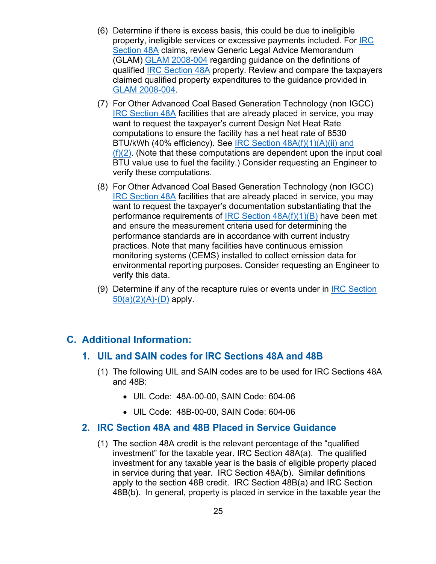- <span id="page-24-0"></span>(6) Determine if there is excess basis, this could be due to ineligible property, ineligible services or excessive payments included. For IRC Section 48A claims, review Generic Legal Advice Memorandum (GLAM) GLAM 2008-004 regarding guidance on the definitions of qualified IRC Section 48A property. Review and compare the taxpayers claimed qualified property expenditures to the guidance provided in GLAM 2008-004.
- (7) For Other Advanced Coal Based Generation Technology (non IGCC) IRC Section 48A facilities that are already placed in service, you may want to request the taxpayer's current Design Net Heat Rate computations to ensure the facility has a net heat rate of 8530 BTU/kWh (40% efficiency). See IRC Section 48A(f)(1)(A)(ii) and  $(f)(2)$ . (Note that these computations are dependent upon the input coal BTU value use to fuel the facility.) Consider requesting an Engineer to verify these computations.
- (8) For Other Advanced Coal Based Generation Technology (non IGCC) IRC Section 48A facilities that are already placed in service, you may want to request the taxpayer's documentation substantiating that the performance requirements of IRC Section  $48A(f)(1)(B)$  have been met and ensure the measurement criteria used for determining the performance standards are in accordance with current industry practices. Note that many facilities have continuous emission monitoring systems (CEMS) installed to collect emission data for environmental reporting purposes. Consider requesting an Engineer to verify this data.
- (9) Determine if any of the recapture rules or events under in IRC Section  $50(a)(2)(A)$ -(D) apply.

#### **C. Additional Information:**

#### **1. UIL and SAIN codes for IRC Sections 48A and 48B**

- (1) The following UIL and SAIN codes are to be used for IRC Sections 48A and 48B:
	- UIL Code: 48A-00-00, SAIN Code: 604-06
	- UIL Code: 48B-00-00, SAIN Code: 604-06

#### **2. IRC Section 48A and 48B Placed in Service Guidance**

(1) The section 48A credit is the relevant percentage of the "qualified investment" for the taxable year. IRC Section 48A(a). The qualified investment for any taxable year is the basis of eligible property placed in service during that year. IRC Section 48A(b). Similar definitions apply to the section 48B credit. IRC Section 48B(a) and IRC Section 48B(b). In general, property is placed in service in the taxable year the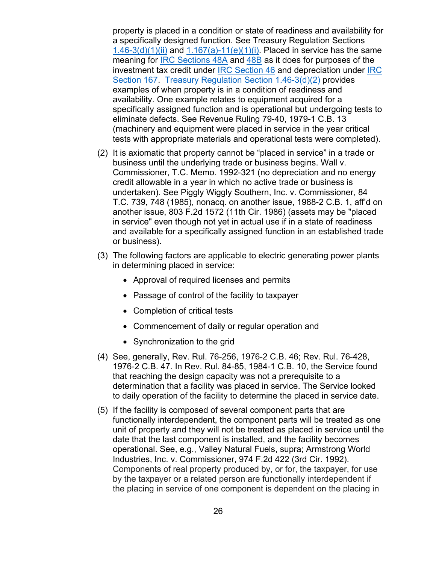property is placed in a condition or state of readiness and availability for a specifically designed function. See Treasury Regulation Sections  $1.46-3(d)(1)(ii)$  and  $1.167(a)-11(e)(1)(i)$ . Placed in service has the same meaning for IRC Sections 48A and 48B as it does for purposes of the investment tax credit under IRC Section 46 and depreciation under IRC Section 167. Treasury Regulation Section 1.46-3(d)(2) provides examples of when property is in a condition of readiness and availability. One example relates to equipment acquired for a specifically assigned function and is operational but undergoing tests to eliminate defects. See Revenue Ruling 79-40, 1979-1 C.B. 13 (machinery and equipment were placed in service in the year critical tests with appropriate materials and operational tests were completed).

- (2) It is axiomatic that property cannot be "placed in service" in a trade or business until the underlying trade or business begins. Wall v. Commissioner, T.C. Memo. 1992-321 (no depreciation and no energy credit allowable in a year in which no active trade or business is undertaken). See Piggly Wiggly Southern, Inc. v. Commissioner, 84 T.C. 739, 748 (1985), nonacq. on another issue, 1988-2 C.B. 1, aff'd on another issue, 803 F.2d 1572 (11th Cir. 1986) (assets may be "placed in service" even though not yet in actual use if in a state of readiness and available for a specifically assigned function in an established trade or business).
- (3) The following factors are applicable to electric generating power plants in determining placed in service:
	- Approval of required licenses and permits
	- Passage of control of the facility to taxpayer
	- Completion of critical tests
	- Commencement of daily or regular operation and
	- Synchronization to the grid
- (4) See, generally, Rev. Rul. 76-256, 1976-2 C.B. 46; Rev. Rul. 76-428, 1976-2 C.B. 47. In Rev. Rul. 84-85, 1984-1 C.B. 10, the Service found that reaching the design capacity was not a prerequisite to a determination that a facility was placed in service. The Service looked to daily operation of the facility to determine the placed in service date.
- (5) If the facility is composed of several component parts that are functionally interdependent, the component parts will be treated as one unit of property and they will not be treated as placed in service until the date that the last component is installed, and the facility becomes operational. See, e.g., Valley Natural Fuels, supra; Armstrong World Industries, Inc. v. Commissioner, 974 F.2d 422 (3rd Cir. 1992). Components of real property produced by, or for, the taxpayer, for use by the taxpayer or a related person are functionally interdependent if the placing in service of one component is dependent on the placing in